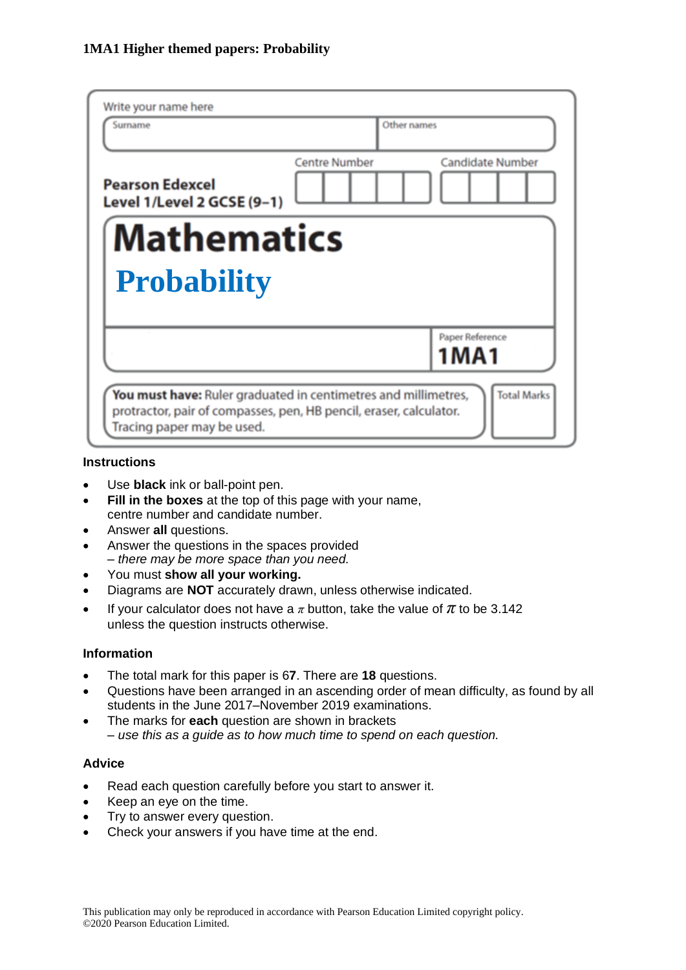| Write your name here                                                                                                                                               |                      |                                |
|--------------------------------------------------------------------------------------------------------------------------------------------------------------------|----------------------|--------------------------------|
| Surname                                                                                                                                                            | Other names          |                                |
| <b>Pearson Edexcel</b><br>Level 1/Level 2 GCSE (9-1)                                                                                                               | <b>Centre Number</b> | <b>Candidate Number</b>        |
| <b>Mathematics</b>                                                                                                                                                 |                      |                                |
| <b>Probability</b>                                                                                                                                                 |                      |                                |
|                                                                                                                                                                    |                      | Paper Reference<br><b>1MA1</b> |
| You must have: Ruler graduated in centimetres and millimetres,<br>protractor, pair of compasses, pen, HB pencil, eraser, calculator.<br>Tracing paper may be used. |                      | <b>Total Marks</b>             |

#### **Instructions**

- Use **black** ink or ball-point pen.
- **Fill in the boxes** at the top of this page with your name, centre number and candidate number.
- Answer **all** questions.
- Answer the questions in the spaces provided *– there may be more space than you need.*
- You must **show all your working.**
- Diagrams are **NOT** accurately drawn, unless otherwise indicated.
- If your calculator does not have a  $\pi$  button, take the value of  $\pi$  to be 3.142 unless the question instructs otherwise.

#### **Information**

- The total mark for this paper is 6**7**. There are **18** questions.
- Questions have been arranged in an ascending order of mean difficulty, as found by all students in the June 2017–November 2019 examinations.
- The marks for **each** question are shown in brackets *– use this as a guide as to how much time to spend on each question.*

#### **Advice**

- Read each question carefully before you start to answer it.
- Keep an eye on the time.
- Try to answer every question.
- Check your answers if you have time at the end.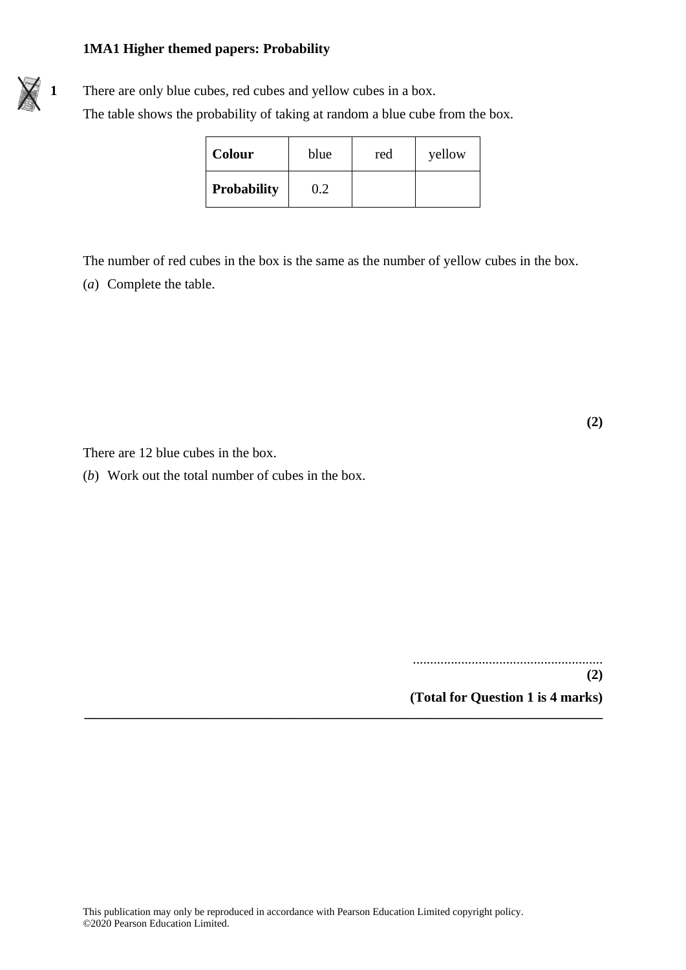

| <b>Colour</b>      | blue | red | yellow |
|--------------------|------|-----|--------|
| <b>Probability</b> | 0.2  |     |        |

The number of red cubes in the box is the same as the number of yellow cubes in the box. (*a*) Complete the table.

**(2)**

There are 12 blue cubes in the box.

(*b*) Work out the total number of cubes in the box.

....................................................... **(2) (Total for Question 1 is 4 marks)**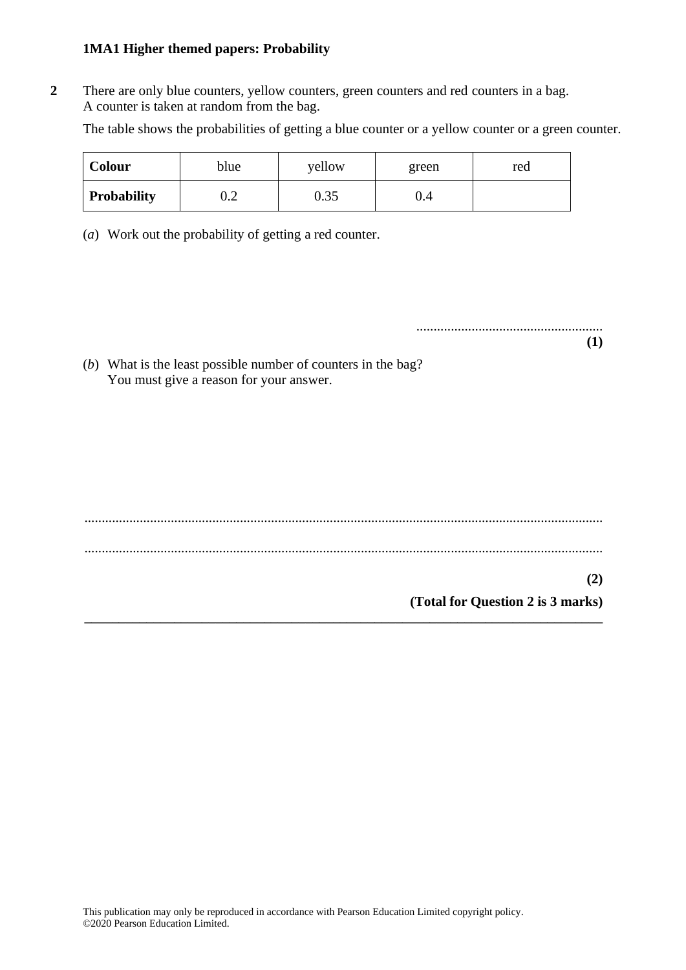**2** There are only blue counters, yellow counters, green counters and red counters in a bag. A counter is taken at random from the bag.

The table shows the probabilities of getting a blue counter or a yellow counter or a green counter.

| Colour             | blue | yellow | green | red |
|--------------------|------|--------|-------|-----|
| <b>Probability</b> | ∪.∠  | 0.35   | U.4   |     |

(*a*) Work out the probability of getting a red counter.

...................................................... **(1)**

(*b*) What is the least possible number of counters in the bag? You must give a reason for your answer.

...................................................................................................................................................... ...................................................................................................................................................... **(2) (Total for Question 2 is 3 marks) \_\_\_\_\_\_\_\_\_\_\_\_\_\_\_\_\_\_\_\_\_\_\_\_\_\_\_\_\_\_\_\_\_\_\_\_\_\_\_\_\_\_\_\_\_\_\_\_\_\_\_\_\_\_\_\_\_\_\_\_\_\_\_\_\_\_\_\_\_\_\_\_\_\_\_**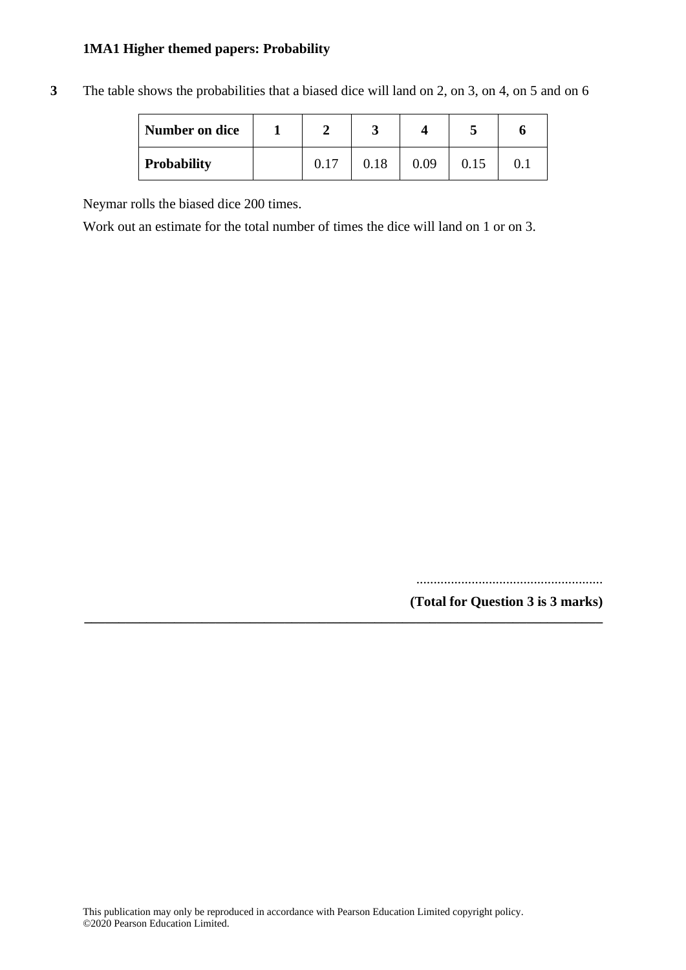| Number on dice     |      |      |      |      |  |
|--------------------|------|------|------|------|--|
| <b>Probability</b> | 0.17 | 0.18 | 0.09 | 0.15 |  |

**\_\_\_\_\_\_\_\_\_\_\_\_\_\_\_\_\_\_\_\_\_\_\_\_\_\_\_\_\_\_\_\_\_\_\_\_\_\_\_\_\_\_\_\_\_\_\_\_\_\_\_\_\_\_\_\_\_\_\_\_\_\_\_\_\_\_\_\_\_\_\_\_\_\_\_**

**3** The table shows the probabilities that a biased dice will land on 2, on 3, on 4, on 5 and on 6

Neymar rolls the biased dice 200 times.

Work out an estimate for the total number of times the dice will land on 1 or on 3.

...................................................... **(Total for Question 3 is 3 marks)**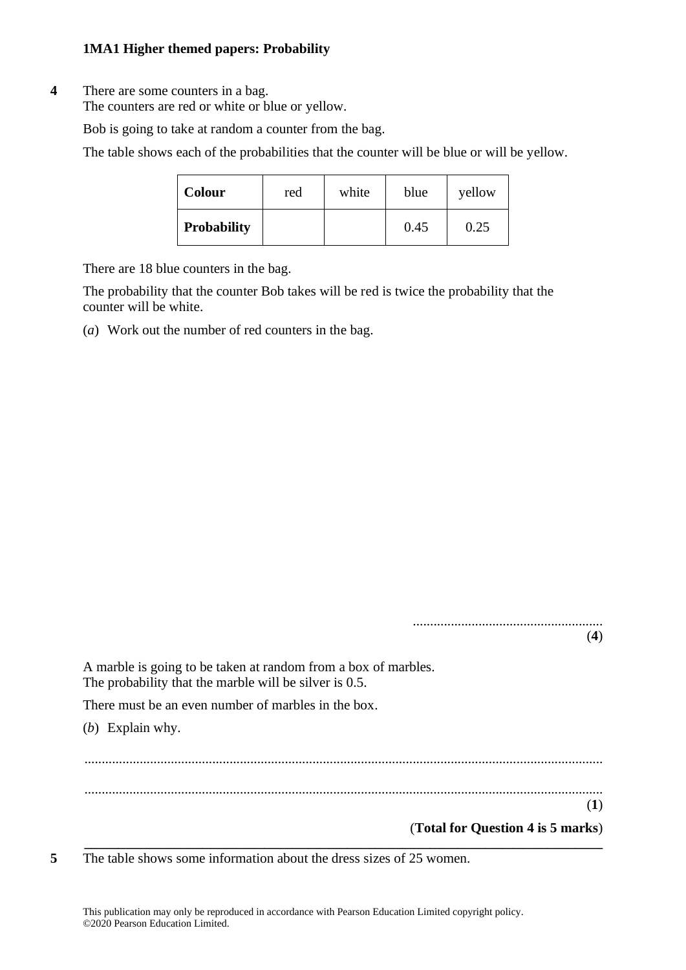# **4** There are some counters in a bag.

The counters are red or white or blue or yellow.

Bob is going to take at random a counter from the bag.

The table shows each of the probabilities that the counter will be blue or will be yellow.

| <b>Colour</b>      | red | white | blue | yellow |
|--------------------|-----|-------|------|--------|
| <b>Probability</b> |     |       | 0.45 | 0.25   |

There are 18 blue counters in the bag.

The probability that the counter Bob takes will be red is twice the probability that the counter will be white.

(*a*) Work out the number of red counters in the bag.

|                                                                                                                          | (4) |
|--------------------------------------------------------------------------------------------------------------------------|-----|
| A marble is going to be taken at random from a box of marbles.<br>The probability that the marble will be silver is 0.5. |     |
| There must be an even number of marbles in the box.                                                                      |     |
| (b) Explain why.                                                                                                         |     |
|                                                                                                                          |     |
|                                                                                                                          |     |
|                                                                                                                          | (1) |
| (Total for Question 4 is 5 marks)                                                                                        |     |

**5** The table shows some information about the dress sizes of 25 women.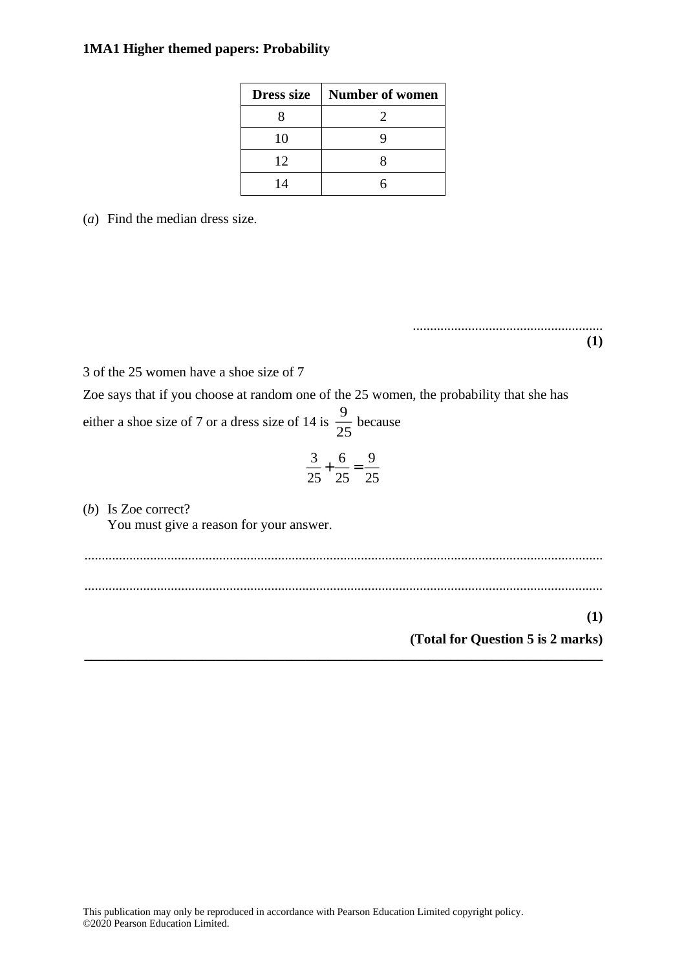| <b>Dress size</b> | <b>Number of women</b> |
|-------------------|------------------------|
|                   |                        |
| 10                |                        |
| 12                |                        |
| 14                |                        |

(*a*) Find the median dress size.

....................................................... **(1)**

3 of the 25 women have a shoe size of 7

Zoe says that if you choose at random one of the 25 women, the probability that she has either a shoe size of 7 or a dress size of 14 is  $\frac{1}{2}$  because 9 25

$$
\frac{3}{25} + \frac{6}{25} = \frac{9}{25}
$$

(*b*) Is Zoe correct? You must give a reason for your answer.

...................................................................................................................................................... ...................................................................................................................................................... **(1)**

**\_\_\_\_\_\_\_\_\_\_\_\_\_\_\_\_\_\_\_\_\_\_\_\_\_\_\_\_\_\_\_\_\_\_\_\_\_\_\_\_\_\_\_\_\_\_\_\_\_\_\_\_\_\_\_\_\_\_\_\_\_\_\_\_\_\_\_\_\_\_\_\_\_\_\_**

**(Total for Question 5 is 2 marks)**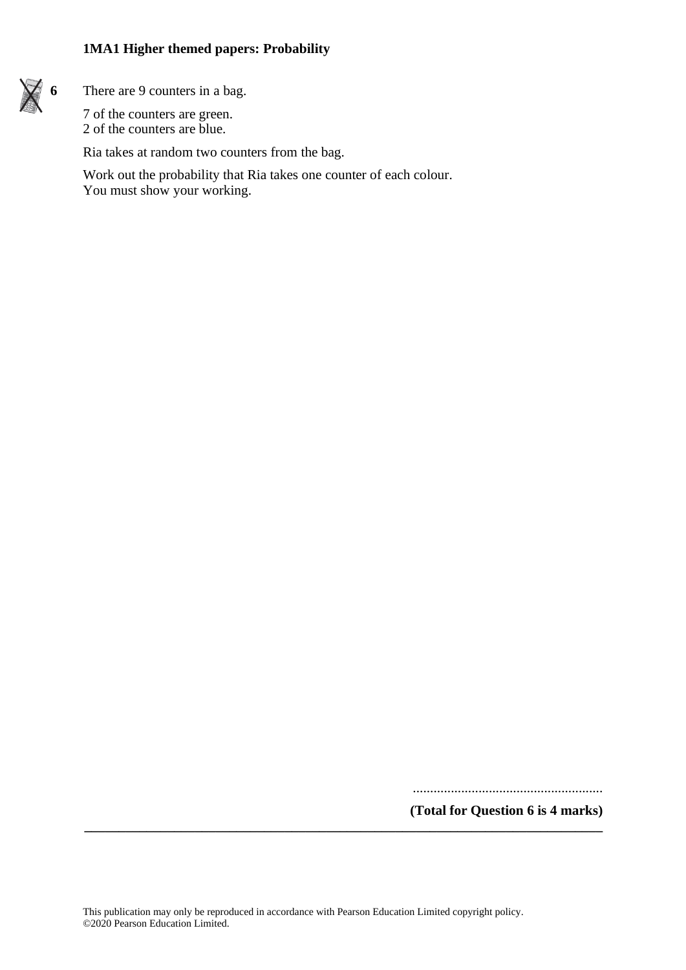

**6** There are 9 counters in a bag.

7 of the counters are green. 2 of the counters are blue.

Ria takes at random two counters from the bag.

Work out the probability that Ria takes one counter of each colour. You must show your working.

.......................................................

**(Total for Question 6 is 4 marks)**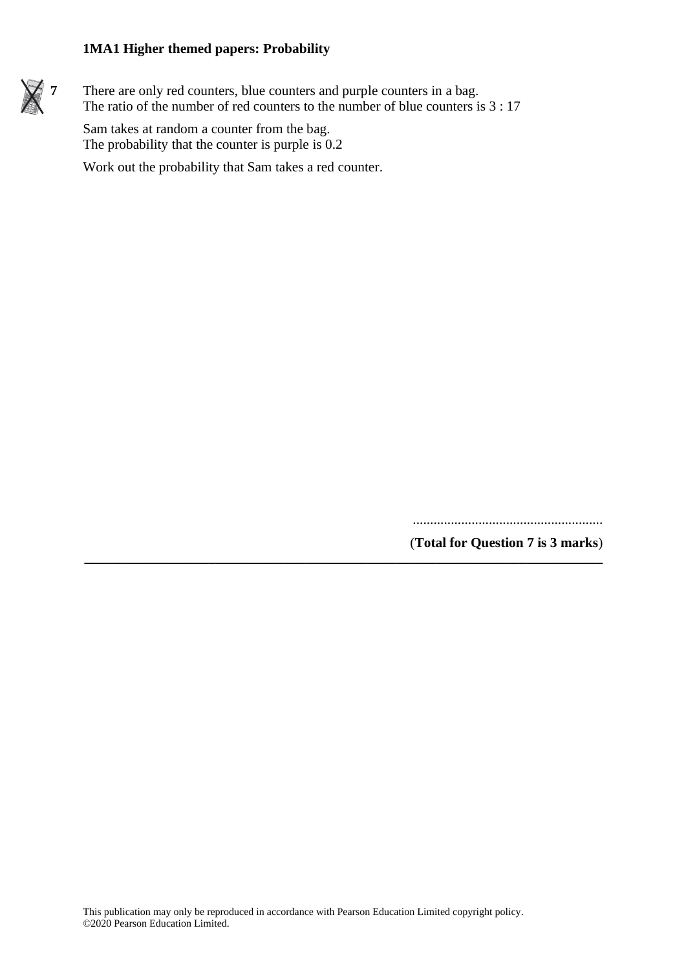

There are only red counters, blue counters and purple counters in a bag. The ratio of the number of red counters to the number of blue counters is 3 : 17

Sam takes at random a counter from the bag. The probability that the counter is purple is  $0.2$ 

Work out the probability that Sam takes a red counter.

.......................................................

(**Total for Question 7 is 3 marks**)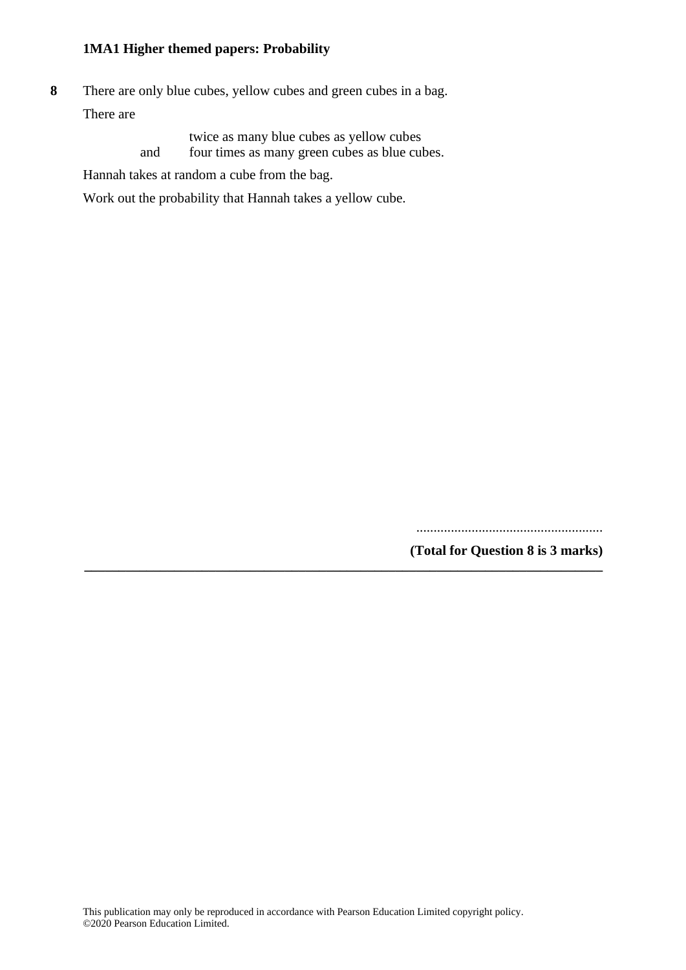**8** There are only blue cubes, yellow cubes and green cubes in a bag. There are

> twice as many blue cubes as yellow cubes and four times as many green cubes as blue cubes.

Hannah takes at random a cube from the bag.

Work out the probability that Hannah takes a yellow cube.

...................................................... **(Total for Question 8 is 3 marks)**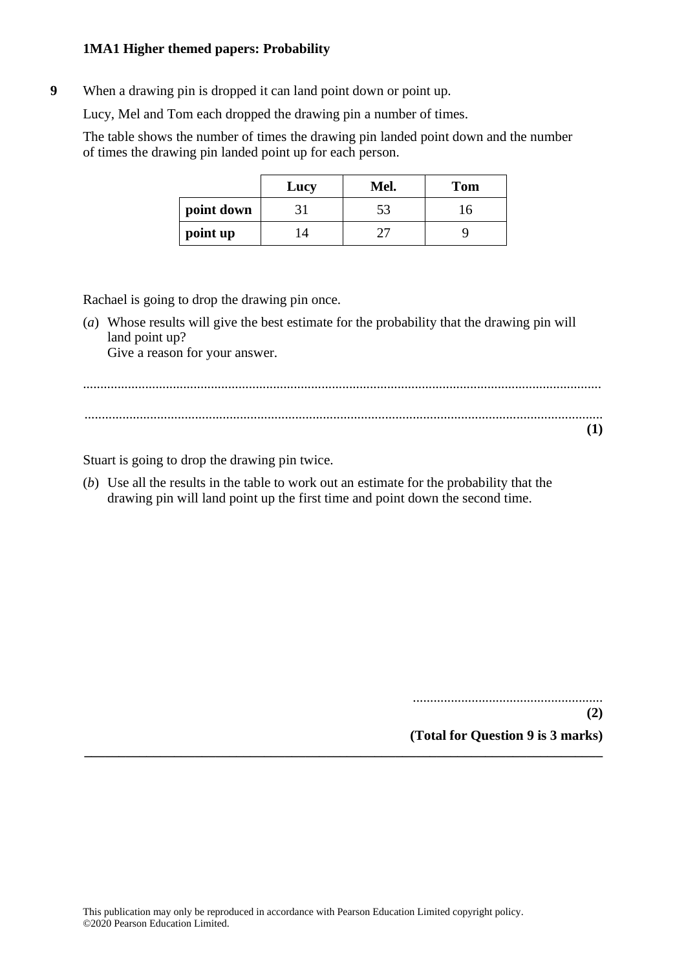**9** When a drawing pin is dropped it can land point down or point up.

Lucy, Mel and Tom each dropped the drawing pin a number of times.

The table shows the number of times the drawing pin landed point down and the number of times the drawing pin landed point up for each person.

|            | Lucy | Mel. | <b>Tom</b> |
|------------|------|------|------------|
| point down |      |      | 16         |
| point up   | IΔ   |      |            |

Rachael is going to drop the drawing pin once.

(*a*) Whose results will give the best estimate for the probability that the drawing pin will land point up? Give a reason for your answer.

**\_\_\_\_\_\_\_\_\_\_\_\_\_\_\_\_\_\_\_\_\_\_\_\_\_\_\_\_\_\_\_\_\_\_\_\_\_\_\_\_\_\_\_\_\_\_\_\_\_\_\_\_\_\_\_\_\_\_\_\_\_\_\_\_\_\_\_\_\_\_\_\_\_\_\_**

Stuart is going to drop the drawing pin twice.

(*b*) Use all the results in the table to work out an estimate for the probability that the drawing pin will land point up the first time and point down the second time.

> ....................................................... **(2) (Total for Question 9 is 3 marks)**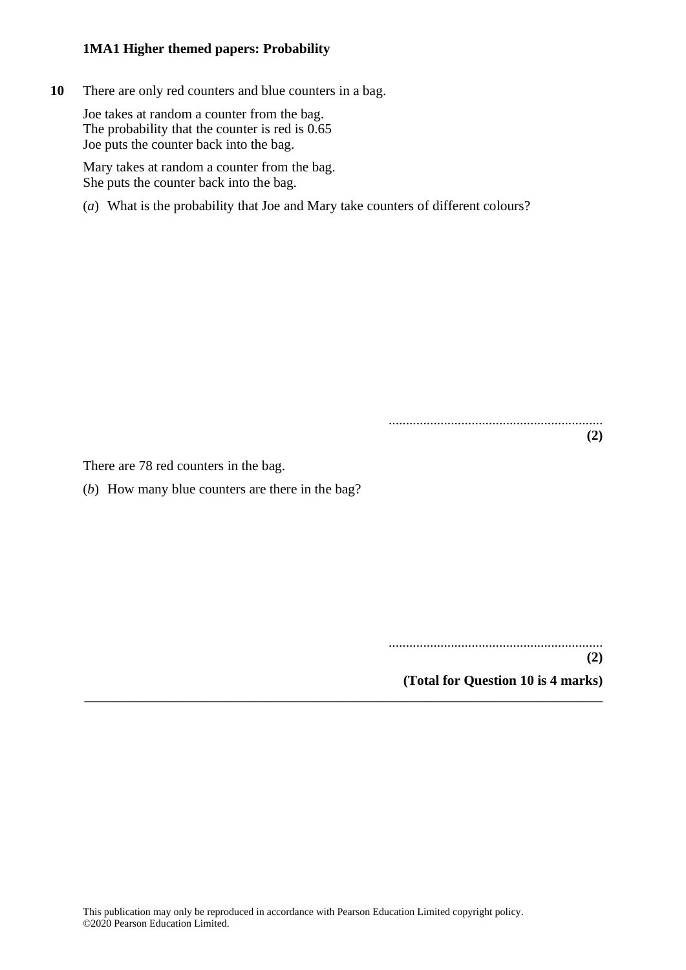**10** There are only red counters and blue counters in a bag.

Joe takes at random a counter from the bag. The probability that the counter is red is 0.65 Joe puts the counter back into the bag.

Mary takes at random a counter from the bag. She puts the counter back into the bag.

(*a*) What is the probability that Joe and Mary take counters of different colours?

.............................................................. **(2)**

There are 78 red counters in the bag.

(*b*) How many blue counters are there in the bag?

..............................................................

**(2)**

**(Total for Question 10 is 4 marks) \_\_\_\_\_\_\_\_\_\_\_\_\_\_\_\_\_\_\_\_\_\_\_\_\_\_\_\_\_\_\_\_\_\_\_\_\_\_\_\_\_\_\_\_\_\_\_\_\_\_\_\_\_\_\_\_\_\_\_\_\_\_\_\_\_\_\_\_\_\_\_\_\_\_\_**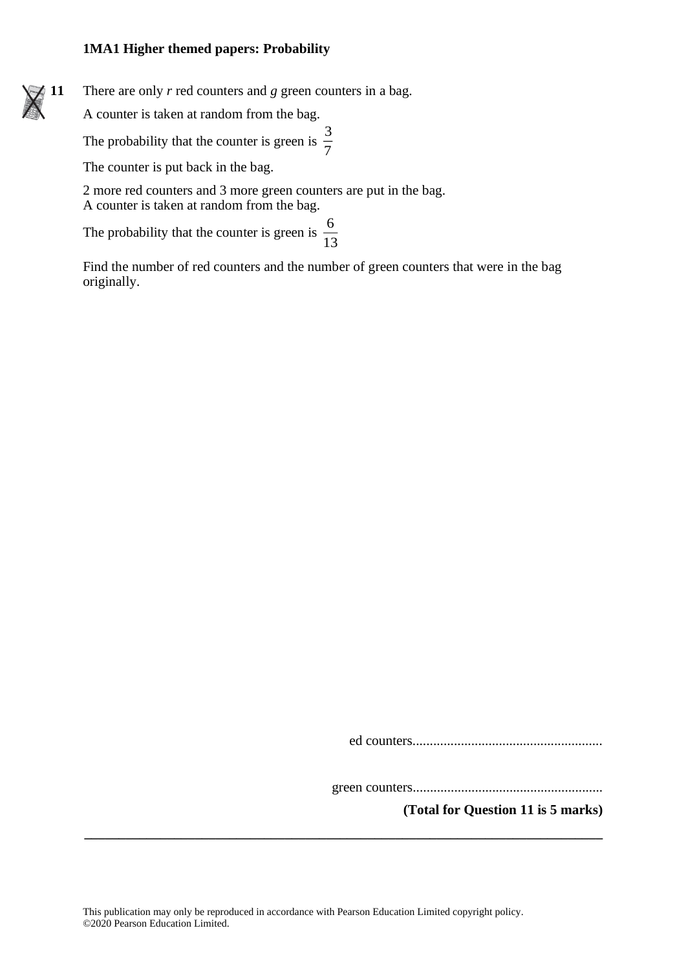**11** There are only *r* red counters and *g* green counters in a bag.

A counter is taken at random from the bag.

The probability that the counter is green is  $\frac{3}{7}$ 7

The counter is put back in the bag.

2 more red counters and 3 more green counters are put in the bag. A counter is taken at random from the bag.

The probability that the counter is green is  $\frac{6}{10}$ 13

Find the number of red counters and the number of green counters that were in the bag originally.

ed counters.......................................................

green counters.......................................................

**(Total for Question 11 is 5 marks)**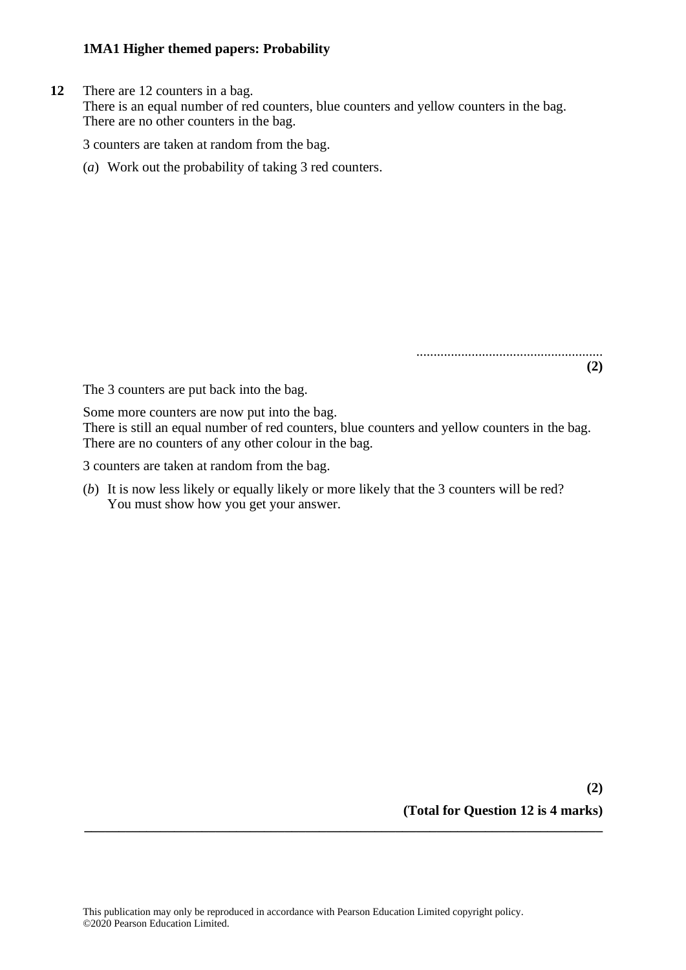**12** There are 12 counters in a bag.

There is an equal number of red counters, blue counters and yellow counters in the bag. There are no other counters in the bag.

3 counters are taken at random from the bag.

(*a*) Work out the probability of taking 3 red counters.

**(2)**

......................................................

The 3 counters are put back into the bag.

Some more counters are now put into the bag.

There is still an equal number of red counters, blue counters and yellow counters in the bag. There are no counters of any other colour in the bag.

3 counters are taken at random from the bag.

(*b*) It is now less likely or equally likely or more likely that the 3 counters will be red? You must show how you get your answer.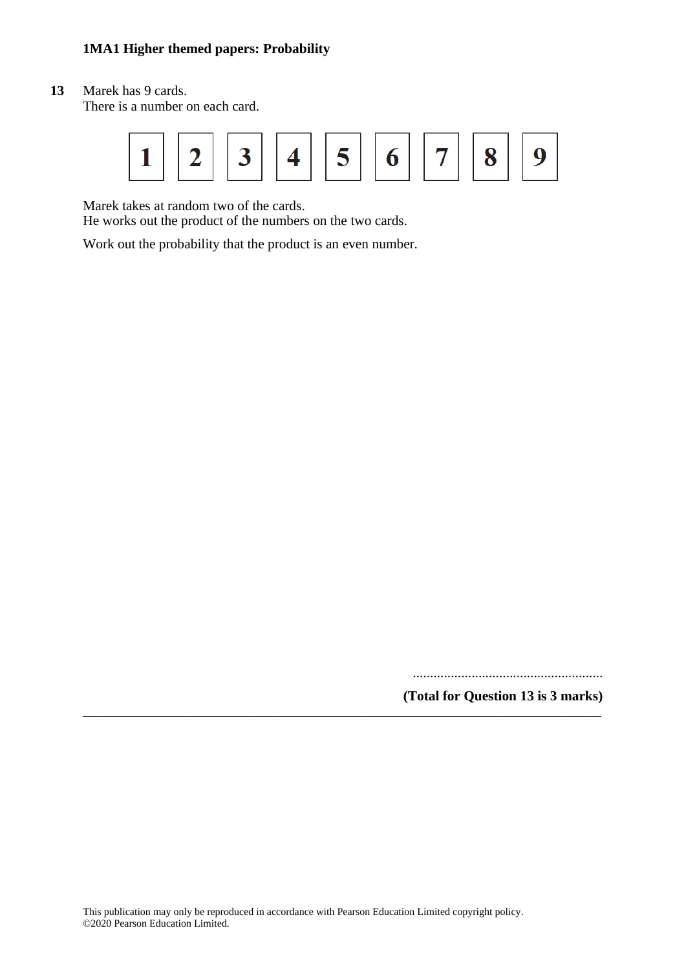**13** Marek has 9 cards.

There is a number on each card.



Marek takes at random two of the cards.

He works out the product of the numbers on the two cards.

Work out the probability that the product is an even number.

.......................................................

**(Total for Question 13 is 3 marks) \_\_\_\_\_\_\_\_\_\_\_\_\_\_\_\_\_\_\_\_\_\_\_\_\_\_\_\_\_\_\_\_\_\_\_\_\_\_\_\_\_\_\_\_\_\_\_\_\_\_\_\_\_\_\_\_\_\_\_\_\_\_\_\_\_\_\_\_\_\_\_\_\_\_\_**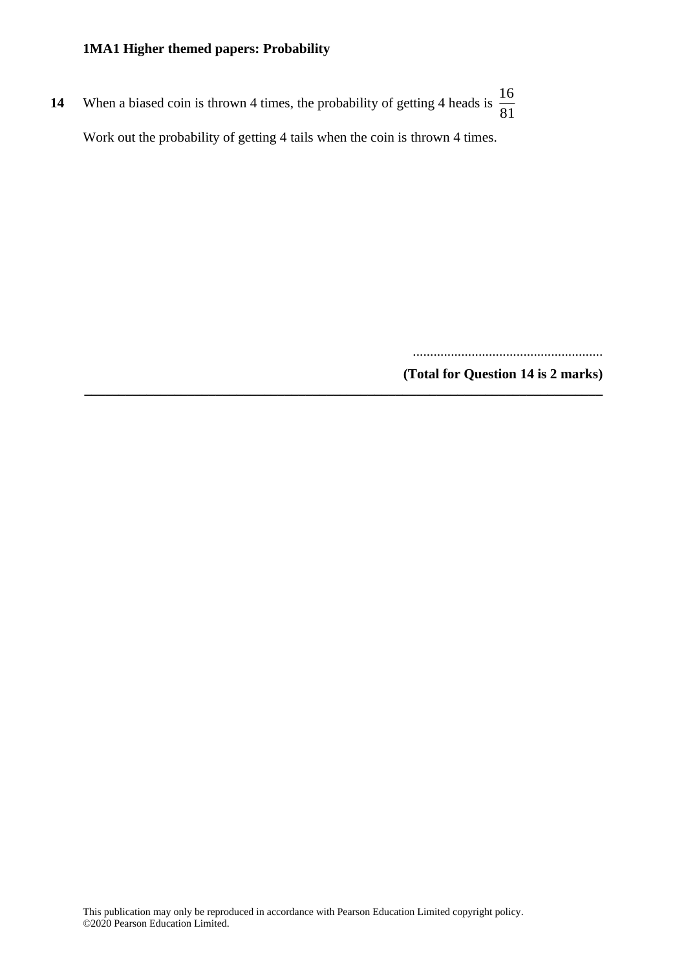**14** When a biased coin is thrown 4 times, the probability of getting 4 heads is  $\frac{16}{24}$ 81 Work out the probability of getting 4 tails when the coin is thrown 4 times.

.......................................................

**(Total for Question 14 is 2 marks) \_\_\_\_\_\_\_\_\_\_\_\_\_\_\_\_\_\_\_\_\_\_\_\_\_\_\_\_\_\_\_\_\_\_\_\_\_\_\_\_\_\_\_\_\_\_\_\_\_\_\_\_\_\_\_\_\_\_\_\_\_\_\_\_\_\_\_\_\_\_\_\_\_\_\_**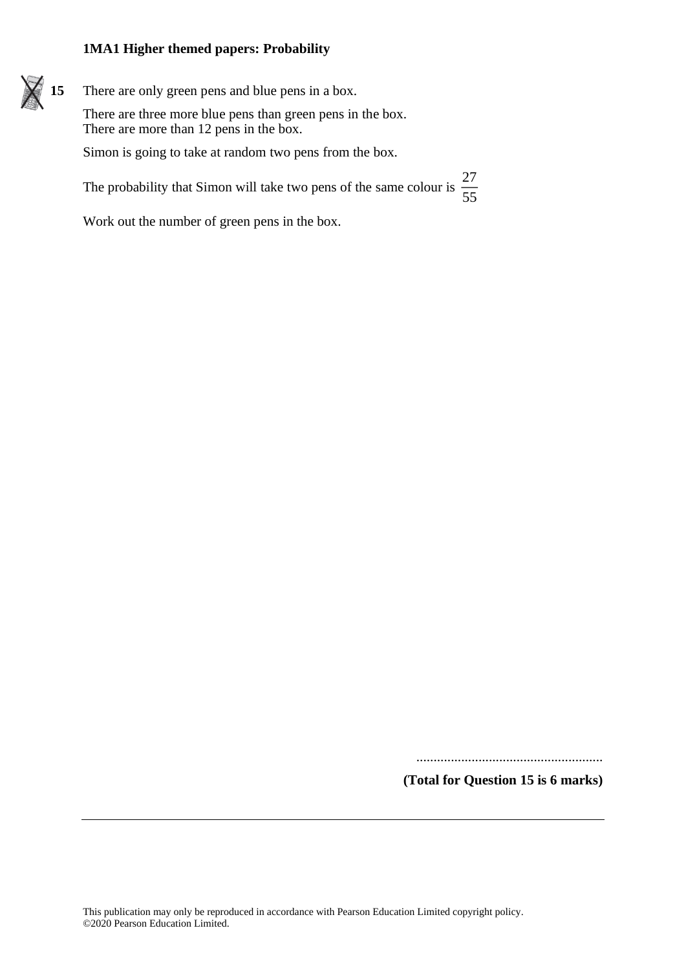**15** There are only green pens and blue pens in a box. There are three more blue pens than green pens in the box. There are more than 12 pens in the box. Simon is going to take at random two pens from the box. The probability that Simon will take two pens of the same colour is  $\frac{27}{57}$ 55

Work out the number of green pens in the box.

......................................................

**(Total for Question 15 is 6 marks)**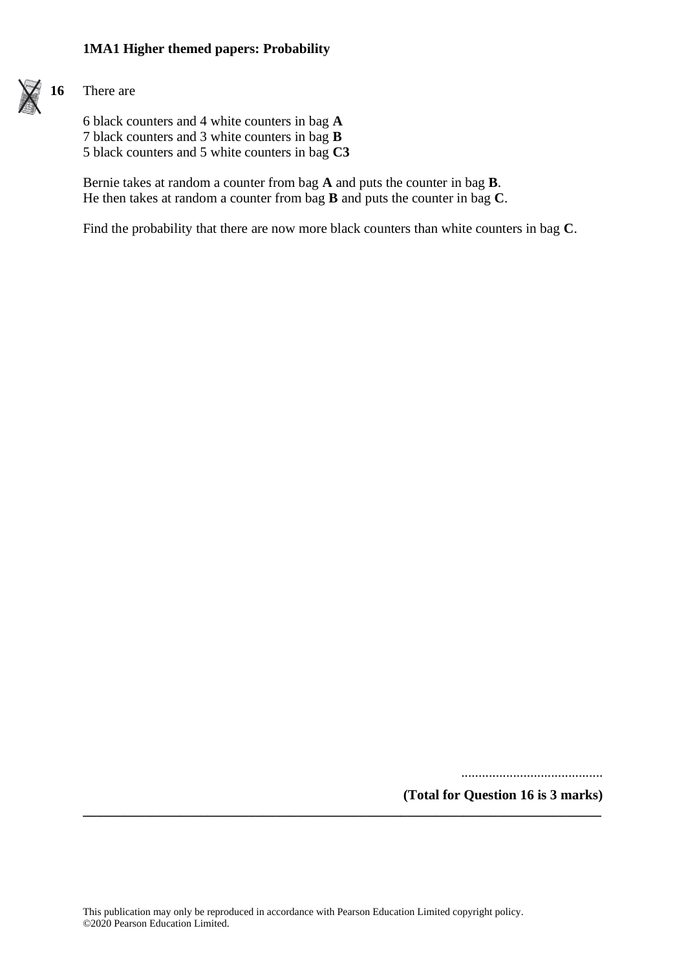

#### **16** There are

6 black counters and 4 white counters in bag **A** 7 black counters and 3 white counters in bag **B** 5 black counters and 5 white counters in bag **C3**

Bernie takes at random a counter from bag **A** and puts the counter in bag **B**. He then takes at random a counter from bag **B** and puts the counter in bag **C**.

Find the probability that there are now more black counters than white counters in bag **C**.

.........................................

**(Total for Question 16 is 3 marks)**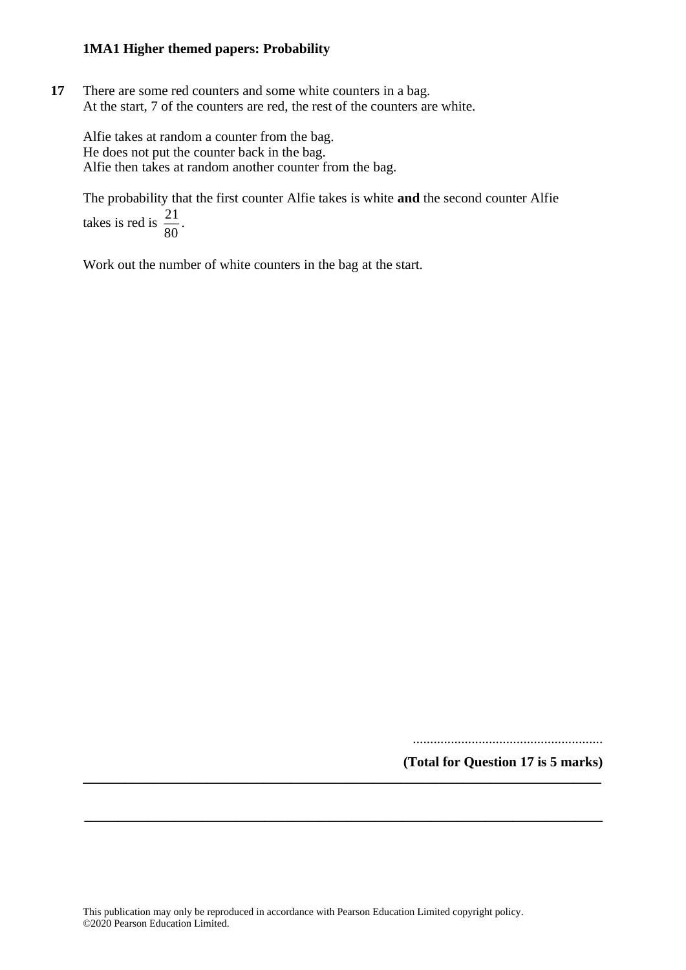**17** There are some red counters and some white counters in a bag. At the start, 7 of the counters are red, the rest of the counters are white.

Alfie takes at random a counter from the bag. He does not put the counter back in the bag. Alfie then takes at random another counter from the bag.

The probability that the first counter Alfie takes is white **and** the second counter Alfie  $\frac{21}{22}$ .

takes is red is  $\frac{21}{80}$ 

Work out the number of white counters in the bag at the start.

.......................................................

**(Total for Question 17 is 5 marks) \_\_\_\_\_\_\_\_\_\_\_\_\_\_\_\_\_\_\_\_\_\_\_\_\_\_\_\_\_\_\_\_\_\_\_\_\_\_\_\_\_\_\_\_\_\_\_\_\_\_\_\_\_\_\_\_\_\_\_\_\_\_\_\_\_\_\_\_\_\_\_\_\_\_\_**